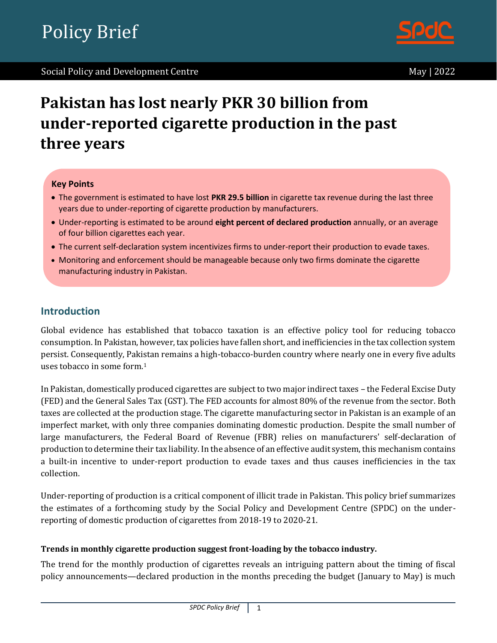

# **Pakistan has lost nearly PKR 30 billion from under-reported cigarette production in the past three years**

#### **Key Points**

- The government is estimated to have lost **PKR 29.5 billion** in cigarette tax revenue during the last three years due to under-reporting of cigarette production by manufacturers.
- Under-reporting is estimated to be around **eight percent of declared production** annually, or an average of four billion cigarettes each year.
- The current self-declaration system incentivizes firms to under-report their production to evade taxes.
- Monitoring and enforcement should be manageable because only two firms dominate the cigarette manufacturing industry in Pakistan.

## **Introduction**

Global evidence has established that tobacco taxation is an effective policy tool for reducing tobacco consumption. In Pakistan, however, tax policies have fallen short, and inefficiencies in the tax collection system persist. Consequently, Pakistan remains a high-tobacco-burden country where nearly one in every five adults uses tobacco in some form.<sup>1</sup>

In Pakistan, domestically produced cigarettes are subject to two major indirect taxes – the Federal Excise Duty (FED) and the General Sales Tax (GST). The FED accounts for almost 80% of the revenue from the sector. Both taxes are collected at the production stage. The cigarette manufacturing sector in Pakistan is an example of an imperfect market, with only three companies dominating domestic production. Despite the small number of large manufacturers, the Federal Board of Revenue (FBR) relies on manufacturers' self-declaration of production to determine their tax liability. In the absence of an effective audit system, this mechanism contains a built-in incentive to under-report production to evade taxes and thus causes inefficiencies in the tax collection.

Under-reporting of production is a critical component of illicit trade in Pakistan. This policy brief summarizes the estimates of a forthcoming study by the Social Policy and Development Centre (SPDC) on the underreporting of domestic production of cigarettes from 2018-19 to 2020-21.

#### **Trends in monthly cigarette production suggest front-loading by the tobacco industry.**

The trend for the monthly production of cigarettes reveals an intriguing pattern about the timing of fiscal policy announcements—declared production in the months preceding the budget (January to May) is much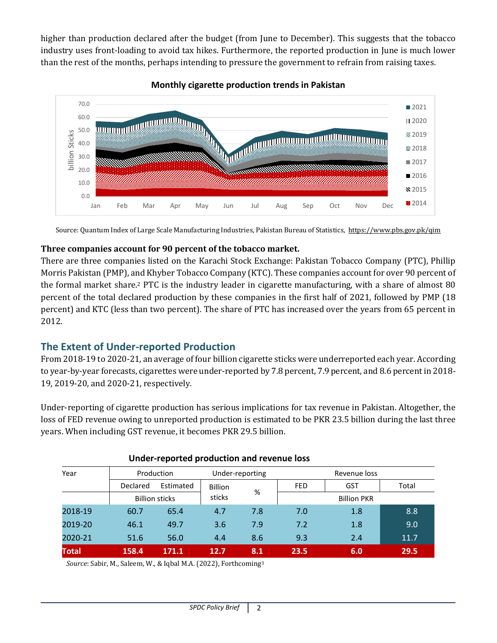higher than production declared after the budget (from June to December). This suggests that the tobacco industry uses front-loading to avoid tax hikes. Furthermore, the reported production in June is much lower than the rest of the months, perhaps intending to pressure the government to refrain from raising taxes.



### **Monthly cigarette production trends in Pakistan**

Source: Quantum Index of Large Scale Manufacturing Industries, Pakistan Bureau of Statistics,<https://www.pbs.gov.pk/qim>

#### **Three companies account for 90 percent of the tobacco market.**

There are three companies listed on the Karachi Stock Exchange: Pakistan Tobacco Company (PTC), Phillip Morris Pakistan (PMP), and Khyber Tobacco Company (KTC). These companies account for over 90 percent of the formal market share.<sup>2</sup> PTC is the industry leader in cigarette manufacturing, with a share of almost 80 percent of the total declared production by these companies in the first half of 2021, followed by PMP (18 percent) and KTC (less than two percent). The share of PTC has increased over the years from 65 percent in 2012.

# **The Extent of Under-reported Production**

From 2018-19 to 2020-21, an average of four billion cigarette sticks were underreported each year. According to year-by-year forecasts, cigarettes were under-reported by 7.8 percent, 7.9 percent, and 8.6 percent in 2018- 19, 2019-20, and 2020-21, respectively.

Under-reporting of cigarette production has serious implications for tax revenue in Pakistan. Altogether, the loss of FED revenue owing to unreported production is estimated to be PKR 23.5 billion during the last three years. When including GST revenue, it becomes PKR 29.5 billion.

| Year         | Production            |           | Under-reporting |                    | Revenue loss |            |       |
|--------------|-----------------------|-----------|-----------------|--------------------|--------------|------------|-------|
|              | <b>Declared</b>       | Estimated | <b>Billion</b>  |                    | <b>FED</b>   | <b>GST</b> | Total |
|              | <b>Billion sticks</b> |           | %<br>sticks     | <b>Billion PKR</b> |              |            |       |
| 2018-19      | 60.7                  | 65.4      | 4.7             | 7.8                | 7.0          | 1.8        | 8.8   |
| 2019-20      | 46.1                  | 49.7      | 3.6             | 7.9                | 7.2          | 1.8        | 9.0   |
| 2020-21      | 51.6                  | 56.0      | 4.4             | 8.6                | 9.3          | 2.4        | 11.7  |
| <b>Total</b> | 158.4                 | 171.1     | 12.7            | 8.1                | 23.5         | 6.0        | 29.5  |

#### **Under-reported production and revenue loss**

*Source*: Sabir, M., Saleem, W., & Iqbal M.A. (2022), Forthcoming<sup>3</sup>